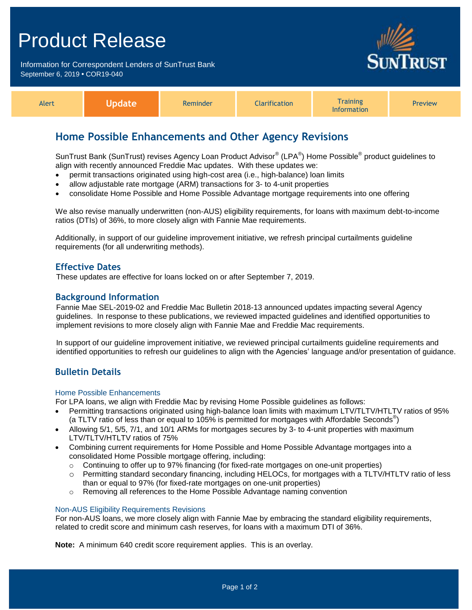# Product Release

Information for Correspondent Lenders of SunTrust Bank September 6, 2019 **•** COR19-040



| <b>Alert</b> | Update | Reminder | <b>Clarification</b> | <b>Training</b><br>Information | <b>Preview</b> |
|--------------|--------|----------|----------------------|--------------------------------|----------------|
|--------------|--------|----------|----------------------|--------------------------------|----------------|

# **Home Possible Enhancements and Other Agency Revisions**

SunTrust Bank (SunTrust) revises Agency Loan Product Advisor® (LPA®) Home Possible® product guidelines to align with recently announced Freddie Mac updates. With these updates we:

- permit transactions originated using high-cost area (i.e., high-balance) loan limits
- allow adjustable rate mortgage (ARM) transactions for 3- to 4-unit properties
- consolidate Home Possible and Home Possible Advantage mortgage requirements into one offering

We also revise manually underwritten (non-AUS) eligibility requirements, for loans with maximum debt-to-income ratios (DTIs) of 36%, to more closely align with Fannie Mae requirements.

Additionally, in support of our guideline improvement initiative, we refresh principal curtailments guideline requirements (for all underwriting methods).

### **Effective Dates**

These updates are effective for loans locked on or after September 7, 2019.

### **Background Information**

Fannie Mae SEL-2019-02 and Freddie Mac Bulletin 2018-13 announced updates impacting several Agency guidelines. In response to these publications, we reviewed impacted guidelines and identified opportunities to implement revisions to more closely align with Fannie Mae and Freddie Mac requirements.

In support of our guideline improvement initiative, we reviewed principal curtailments guideline requirements and identified opportunities to refresh our guidelines to align with the Agencies' language and/or presentation of guidance.

### **Bulletin Details**

### Home Possible Enhancements

For LPA loans, we align with Freddie Mac by revising Home Possible guidelines as follows:

- Permitting transactions originated using high-balance loan limits with maximum LTV/TLTV/HTLTV ratios of 95% (a TLTV ratio of less than or equal to 105% is permitted for mortgages with Affordable Seconds<sup>®</sup>)
- Allowing 5/1, 5/5, 7/1, and 10/1 ARMs for mortgages secures by 3- to 4-unit properties with maximum LTV/TLTV/HTLTV ratios of 75%
- Combining current requirements for Home Possible and Home Possible Advantage mortgages into a consolidated Home Possible mortgage offering, including:
	- $\circ$  Continuing to offer up to 97% financing (for fixed-rate mortgages on one-unit properties)
	- o Permitting standard secondary financing, including HELOCs, for mortgages with a TLTV/HTLTV ratio of less than or equal to 97% (for fixed-rate mortgages on one-unit properties)
	- o Removing all references to the Home Possible Advantage naming convention

### Non-AUS Eligibility Requirements Revisions

For non-AUS loans, we more closely align with Fannie Mae by embracing the standard eligibility requirements, related to credit score and minimum cash reserves, for loans with a maximum DTI of 36%.

**Note:** A minimum 640 credit score requirement applies. This is an overlay.